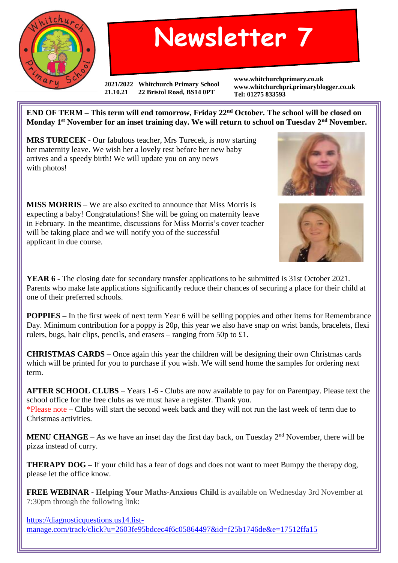

## **Newsletter 7**

**2021/2022 Whitchurch Primary School 21.10.21 22 Bristol Road, BS14 0PT**

**www.whitchurchprimary.co.uk www.whitchurchpri.primaryblogger.co.uk Tel: 01275 833593**

**END OF TERM – This term will end tomorrow, Friday 22nd October. The school will be closed on Monday 1st November for an inset training day. We will return to school on Tuesday 2nd November.**

**MRS TURECEK** - Our fabulous teacher, Mrs Turecek, is now starting her maternity leave. We wish her a lovely rest before her new baby arrives and a speedy birth! We will update you on any news with photos!

**MISS MORRIS** – We are also excited to announce that Miss Morris is expecting a baby! Congratulations! She will be going on maternity leave in February. In the meantime, discussions for Miss Morris's cover teacher will be taking place and we will notify you of the successful applicant in due course.

**YEAR 6 -** The closing date for secondary transfer applications to be submitted is 31st October 2021. Parents who make late applications significantly reduce their chances of securing a place for their child at one of their preferred schools.

**POPPIES** – In the first week of next term Year 6 will be selling poppies and other items for Remembrance Day. Minimum contribution for a poppy is 20p, this year we also have snap on wrist bands, bracelets, flexi rulers, bugs, hair clips, pencils, and erasers – ranging from 50p to £1.

**CHRISTMAS CARDS** – Once again this year the children will be designing their own Christmas cards which will be printed for you to purchase if you wish. We will send home the samples for ordering next term.

**AFTER SCHOOL CLUBS** – Years 1-6 - Clubs are now available to pay for on Parentpay. Please text the school office for the free clubs as we must have a register. Thank you.

\*Please note – Clubs will start the second week back and they will not run the last week of term due to Christmas activities.

**MENU CHANGE** – As we have an inset day the first day back, on Tuesday  $2<sup>nd</sup>$  November, there will be pizza instead of curry.

**THERAPY DOG** – If your child has a fear of dogs and does not want to meet Bumpy the therapy dog, please let the office know.

**FREE WEBINAR - Helping Your Maths-Anxious Child** is available on Wednesday 3rd November at 7:30pm through the following link:

[https://diagnosticquestions.us14.list](https://diagnosticquestions.us14.list-manage.com/track/click?u=2603fe95bdcec4f6c05864497&id=f25b1746de&e=17512ffa15)[manage.com/track/click?u=2603fe95bdcec4f6c05864497&id=f25b1746de&e=17512ffa15](https://diagnosticquestions.us14.list-manage.com/track/click?u=2603fe95bdcec4f6c05864497&id=f25b1746de&e=17512ffa15)



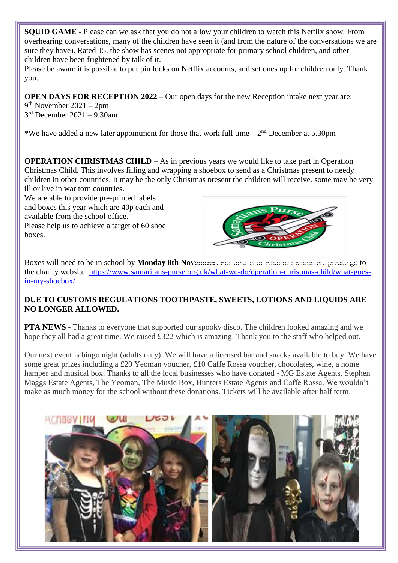**SQUID GAME -** Please can we ask that you do not allow your children to watch this Netflix show. From overhearing conversations, many of the children have seen it (and from the nature of the conversations we are sure they have). Rated 15, the show has scenes not appropriate for primary school children, and other children have been frightened by talk of it.

Please be aware it is possible to put pin locks on Netflix accounts, and set ones up for children only. Thank you.

**OPEN DAYS FOR RECEPTION 2022** – Our open days for the new Reception intake next year are:

9 th November 2021 – 2pm 3 rd December 2021 – 9.30am

\*We have added a new later appointment for those that work full time  $-2<sup>nd</sup>$  December at 5.30pm

**OPERATION CHRISTMAS CHILD –** As in previous years we would like to take part in Operation Christmas Child. This involves filling and wrapping a shoebox to send as a Christmas present to needy children in other countries. It may be the only Christmas present the children will receive, some may be very ill or live in war torn countries.

We are able to provide pre-printed labels and boxes this year which are 40p each and available from the school office. Please help us to achieve a target of 60 shoe boxes.



Boxes will need to be in school by **Monday 8th November**. For details of what to include etc please go to the charity website: [https://www.samaritans-purse.org.uk/what-we-do/operation-christmas-child/what-goes](https://www.samaritans-purse.org.uk/what-we-do/operation-christmas-child/what-goes-in-my-shoebox/)[in-my-shoebox/](https://www.samaritans-purse.org.uk/what-we-do/operation-christmas-child/what-goes-in-my-shoebox/)

## **DUE TO CUSTOMS REGULATIONS TOOTHPASTE, SWEETS, LOTIONS AND LIQUIDS ARE NO LONGER ALLOWED.**

**PTA NEWS** - Thanks to everyone that supported our spooky disco. The children looked amazing and we hope they all had a great time. We raised £322 which is amazing! Thank you to the staff who helped out.

Our next event is bingo night (adults only). We will have a licensed bar and snacks available to buy. We have some great prizes including a £20 Yeoman voucher, £10 Caffe Rossa voucher, chocolates, wine, a home hamper and musical box. Thanks to all the local businesses who have donated - MG Estate Agents, Stephen Maggs Estate Agents, The Yeoman, The Music Box, Hunters Estate Agents and Caffe Rossa. We wouldn't make as much money for the school without these donations. Tickets will be available after half term.